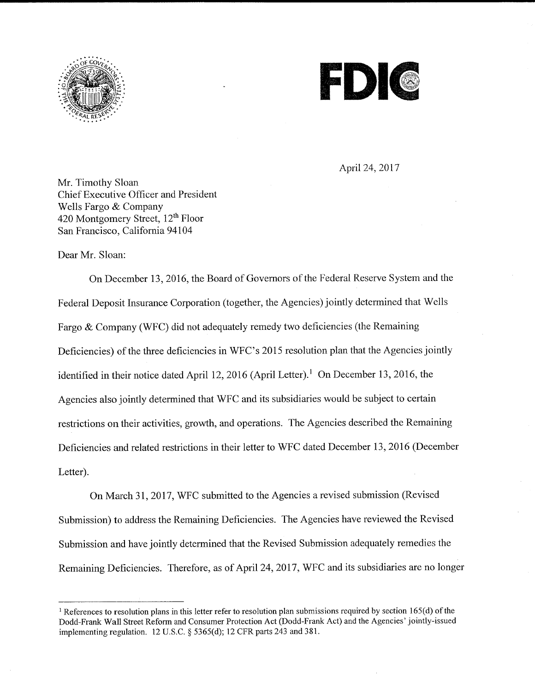



April 24, 2017

Mr. Timothy Sloan Chief Executive Officer and President Wells Fargo & Company 420 Montgomery Street, 12<sup>th</sup> Floor San Francisco, California 94104

Dear Mr. Sloan:

On December 13, 2016, the Board of Governors of the Federal Reserve System and the Federal Deposit Insurance Corporation (together, the Agencies) jointly determined that Wells Fargo & Company (WFC) did not adequately remedy two deficiencies (the Remaining Deficiencies) of the three deficiencies in WFC's 2015 resolution plan that the Agencies jointly identified in their notice dated April 12, 2016 (April Letter).<sup>1</sup> On December 13, 2016, the Agencies also jointly determined that WFC and its subsidiaries would be subject to certain restrictions on their activities, growth, and operations. The Agencies described the Remaining Deficiencies and related restrictions in their letter to WFC dated December 13, 2016 (December Letter).

On March 31, 2017, WFC submitted to the Agencies a revised submission (Revised Submission) to address the Remaining Deficiencies. The Agencies have reviewed the Revised Submission and have jointly determined that the Revised Submission adequately remedies the Remaining Deficiencies. Therefore, as of April 24, 2017, WFC and its subsidiaries are no longer

<sup>&</sup>lt;sup>1</sup> References to resolution plans in this letter refer to resolution plan submissions required by section  $165(d)$  of the Dodd-Frank Wall Street Reform and Consumer Protection Act (Dodd-Frank Act) and the Agencies' jointly-issued implementing regulation. 12 U.S.C. § 5365(d); 12 CFR parts 243 and 381.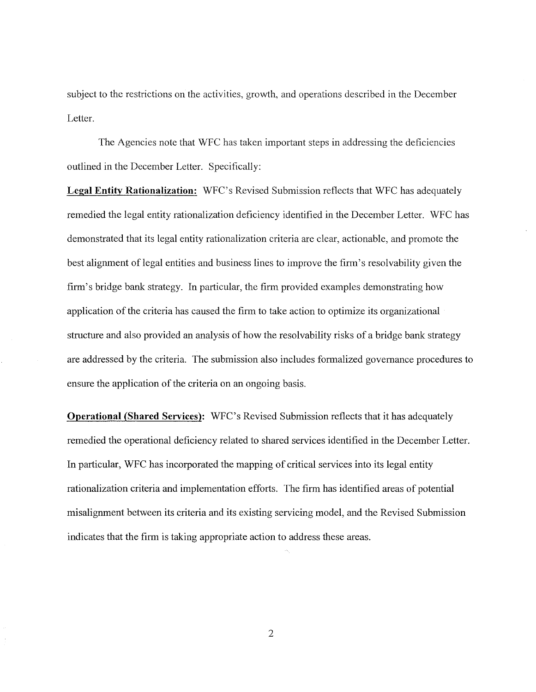subject to the restrictions on the activities, growth, and operations described in the December Letter.

The Agencies note that WFC has taken important steps in addressing the deficiencies outlined in the December Letter. Specifically:

**Legal Entity Rationalization:** WFC's Revised Submission reflects that WFC has adequately remedied the legal entity rationalization deficiency identified in the December Letter. WFC has demonstrated that its legal entity rationalization criteria are clear, actionable, and promote the best alignment of legal entities and business lines to improve the firm's resolvability given the firm's bridge bank strategy. In particular, the firm provided examples demonstrating how application of the criteria has caused the firm to take action to optimize its organizational structure and also provided an analysis of how the resolvability risks of a bridge bank strategy are addressed by the criteria. The submission also includes fonnalized governance procedures to ensure the application of the criteria on an ongoing basis.

**Operational (Shared Services):** WFC's Revised Submission reflects that it has adequately remedied the operational deficiency related to shared services identified in the December Letter. In particular, WFC has incorporated the mapping of critical services into its legal entity rationalization criteria and implementation efforts. The firm has identified areas of potential misalignment between its criteria and its existing servicing model, and the Revised Submission indicates that the firm is taking appropriate action to address these areas.